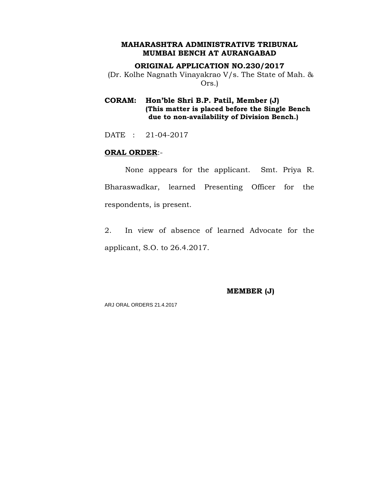### **ORIGINAL APPLICATION NO.230/2017**

(Dr. Kolhe Nagnath Vinayakrao V/s. The State of Mah. & Ors.)

**CORAM: Hon'ble Shri B.P. Patil, Member (J) (This matter is placed before the Single Bench due to non-availability of Division Bench.)**

DATE : 21-04-2017

### **ORAL ORDER**:-

None appears for the applicant. Smt. Priya R. Bharaswadkar, learned Presenting Officer for the respondents, is present.

2. In view of absence of learned Advocate for the applicant, S.O. to 26.4.2017.

**MEMBER (J)**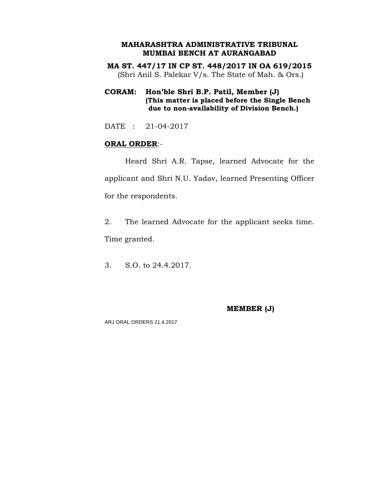**MA ST. 447/17 IN CP ST. 448/2017 IN OA 619/2015** (Shri Anil S. Palekar V/s. The State of Mah. & Ors.)

# **CORAM: Hon'ble Shri B.P. Patil, Member (J) (This matter is placed before the Single Bench due to non-availability of Division Bench.)**

DATE : 21-04-2017

# **ORAL ORDER**:-

Heard Shri A.R. Tapse, learned Advocate for the applicant and Shri N.U. Yadav, learned Presenting Officer for the respondents.

2. The learned Advocate for the applicant seeks time. Time granted.

3. S.O. to 24.4.2017.

### **MEMBER (J)**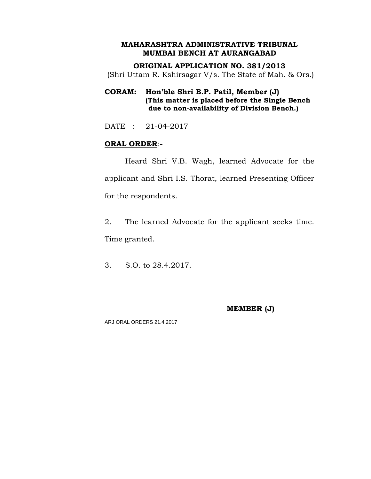**ORIGINAL APPLICATION NO. 381/2013** (Shri Uttam R. Kshirsagar V/s. The State of Mah. & Ors.)

# **CORAM: Hon'ble Shri B.P. Patil, Member (J) (This matter is placed before the Single Bench due to non-availability of Division Bench.)**

DATE : 21-04-2017

# **ORAL ORDER**:-

Heard Shri V.B. Wagh, learned Advocate for the applicant and Shri I.S. Thorat, learned Presenting Officer for the respondents.

2. The learned Advocate for the applicant seeks time. Time granted.

3. S.O. to 28.4.2017.

# **MEMBER (J)**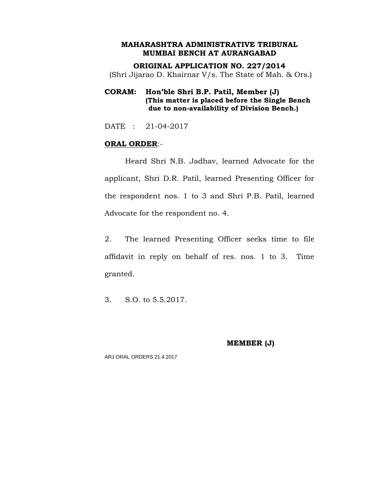**ORIGINAL APPLICATION NO. 227/2014** (Shri Jijarao D. Khairnar V/s. The State of Mah. & Ors.)

# **CORAM: Hon'ble Shri B.P. Patil, Member (J) (This matter is placed before the Single Bench due to non-availability of Division Bench.)**

DATE : 21-04-2017

### **ORAL ORDER**:-

Heard Shri N.B. Jadhav, learned Advocate for the applicant, Shri D.R. Patil, learned Presenting Officer for the respondent nos. 1 to 3 and Shri P.B. Patil, learned Advocate for the respondent no. 4.

2. The learned Presenting Officer seeks time to file affidavit in reply on behalf of res. nos. 1 to 3. Time granted.

3. S.O. to 5.5.2017.

**MEMBER (J)**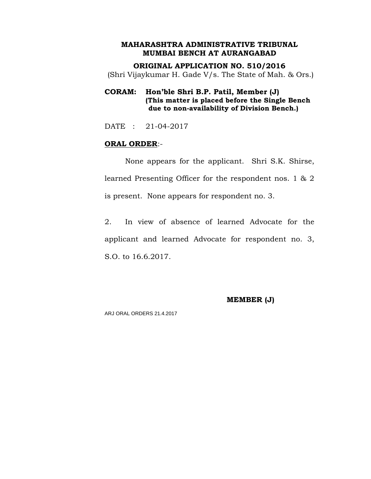**ORIGINAL APPLICATION NO. 510/2016** (Shri Vijaykumar H. Gade V/s. The State of Mah. & Ors.)

# **CORAM: Hon'ble Shri B.P. Patil, Member (J) (This matter is placed before the Single Bench due to non-availability of Division Bench.)**

DATE : 21-04-2017

### **ORAL ORDER**:-

None appears for the applicant. Shri S.K. Shirse, learned Presenting Officer for the respondent nos. 1 & 2 is present. None appears for respondent no. 3.

2. In view of absence of learned Advocate for the applicant and learned Advocate for respondent no. 3, S.O. to 16.6.2017.

### **MEMBER (J)**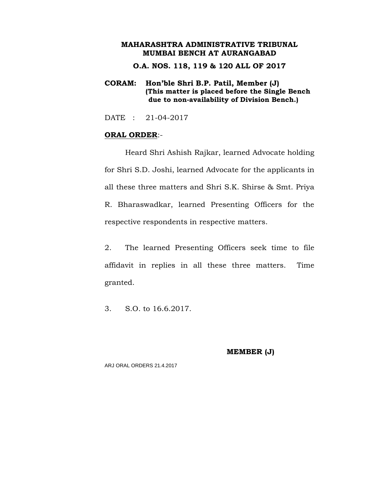**O.A. NOS. 118, 119 & 120 ALL OF 2017**

### **CORAM: Hon'ble Shri B.P. Patil, Member (J) (This matter is placed before the Single Bench due to non-availability of Division Bench.)**

DATE : 21-04-2017

### **ORAL ORDER**:-

Heard Shri Ashish Rajkar, learned Advocate holding for Shri S.D. Joshi, learned Advocate for the applicants in all these three matters and Shri S.K. Shirse & Smt. Priya R. Bharaswadkar, learned Presenting Officers for the respective respondents in respective matters.

2. The learned Presenting Officers seek time to file affidavit in replies in all these three matters. Time granted.

3. S.O. to 16.6.2017.

**MEMBER (J)**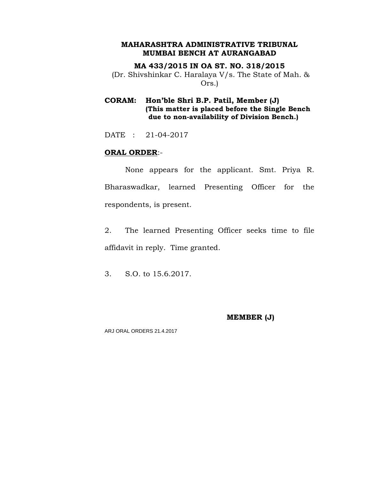### **MA 433/2015 IN OA ST. NO. 318/2015**

(Dr. Shivshinkar C. Haralaya V/s. The State of Mah. & Ors.)

## **CORAM: Hon'ble Shri B.P. Patil, Member (J) (This matter is placed before the Single Bench due to non-availability of Division Bench.)**

DATE : 21-04-2017

### **ORAL ORDER**:-

None appears for the applicant. Smt. Priya R. Bharaswadkar, learned Presenting Officer for the respondents, is present.

2. The learned Presenting Officer seeks time to file affidavit in reply. Time granted.

3. S.O. to 15.6.2017.

#### **MEMBER (J)**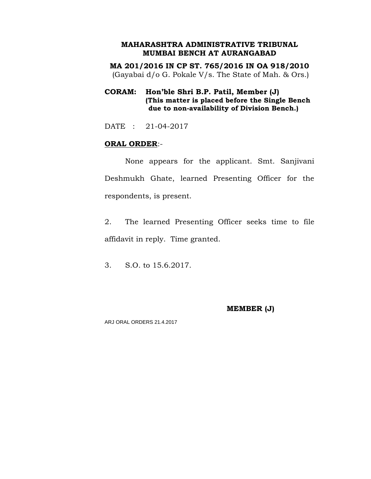**MA 201/2016 IN CP ST. 765/2016 IN OA 918/2010** (Gayabai d/o G. Pokale V/s. The State of Mah. & Ors.)

# **CORAM: Hon'ble Shri B.P. Patil, Member (J) (This matter is placed before the Single Bench due to non-availability of Division Bench.)**

DATE : 21-04-2017

### **ORAL ORDER**:-

None appears for the applicant. Smt. Sanjivani Deshmukh Ghate, learned Presenting Officer for the respondents, is present.

2. The learned Presenting Officer seeks time to file affidavit in reply. Time granted.

3. S.O. to 15.6.2017.

### **MEMBER (J)**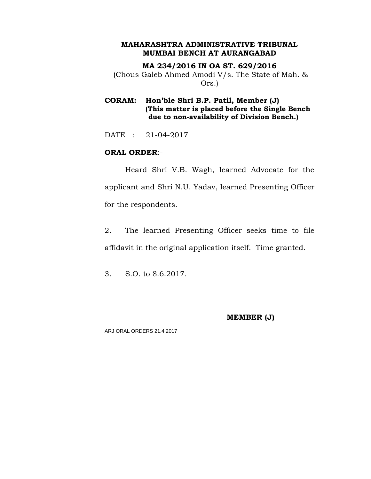**MA 234/2016 IN OA ST. 629/2016** (Chous Galeb Ahmed Amodi V/s. The State of Mah. & Ors.)

**CORAM: Hon'ble Shri B.P. Patil, Member (J) (This matter is placed before the Single Bench due to non-availability of Division Bench.)**

DATE : 21-04-2017

### **ORAL ORDER**:-

Heard Shri V.B. Wagh, learned Advocate for the applicant and Shri N.U. Yadav, learned Presenting Officer for the respondents.

2. The learned Presenting Officer seeks time to file affidavit in the original application itself. Time granted.

3. S.O. to 8.6.2017.

### **MEMBER (J)**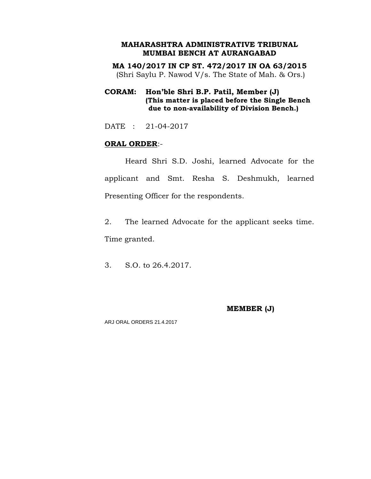**MA 140/2017 IN CP ST. 472/2017 IN OA 63/2015** (Shri Saylu P. Nawod V/s. The State of Mah. & Ors.)

# **CORAM: Hon'ble Shri B.P. Patil, Member (J) (This matter is placed before the Single Bench due to non-availability of Division Bench.)**

DATE : 21-04-2017

### **ORAL ORDER**:-

Heard Shri S.D. Joshi, learned Advocate for the applicant and Smt. Resha S. Deshmukh, learned Presenting Officer for the respondents.

2. The learned Advocate for the applicant seeks time. Time granted.

3. S.O. to 26.4.2017.

### **MEMBER (J)**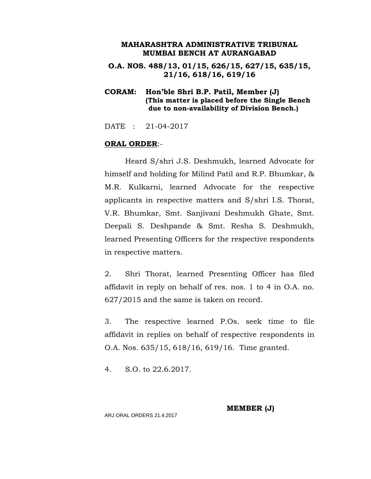**O.A. NOS. 488/13, 01/15, 626/15, 627/15, 635/15, 21/16, 618/16, 619/16**

**CORAM: Hon'ble Shri B.P. Patil, Member (J) (This matter is placed before the Single Bench due to non-availability of Division Bench.)**

DATE : 21-04-2017

### **ORAL ORDER**:-

Heard S/shri J.S. Deshmukh, learned Advocate for himself and holding for Milind Patil and R.P. Bhumkar, & M.R. Kulkarni, learned Advocate for the respective applicants in respective matters and S/shri I.S. Thorat, V.R. Bhumkar, Smt. Sanjivani Deshmukh Ghate, Smt. Deepali S. Deshpande & Smt. Resha S. Deshmukh, learned Presenting Officers for the respective respondents in respective matters.

2. Shri Thorat, learned Presenting Officer has filed affidavit in reply on behalf of res. nos. 1 to 4 in O.A. no. 627/2015 and the same is taken on record.

3. The respective learned P.Os. seek time to file affidavit in replies on behalf of respective respondents in O.A. Nos. 635/15, 618/16, 619/16. Time granted.

4. S.O. to 22.6.2017.

**MEMBER (J)**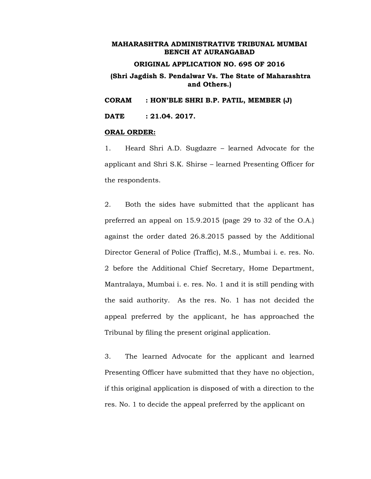### **ORIGINAL APPLICATION NO. 695 OF 2016**

### **(Shri Jagdish S. Pendalwar Vs. The State of Maharashtra and Others.)**

**CORAM : HON'BLE SHRI B.P. PATIL, MEMBER (J)**

**DATE : 21.04. 2017.**

#### **ORAL ORDER:**

1. Heard Shri A.D. Sugdazre – learned Advocate for the applicant and Shri S.K. Shirse – learned Presenting Officer for the respondents.

2. Both the sides have submitted that the applicant has preferred an appeal on 15.9.2015 (page 29 to 32 of the O.A.) against the order dated 26.8.2015 passed by the Additional Director General of Police (Traffic), M.S., Mumbai i. e. res. No. 2 before the Additional Chief Secretary, Home Department, Mantralaya, Mumbai i. e. res. No. 1 and it is still pending with the said authority. As the res. No. 1 has not decided the appeal preferred by the applicant, he has approached the Tribunal by filing the present original application.

3. The learned Advocate for the applicant and learned Presenting Officer have submitted that they have no objection, if this original application is disposed of with a direction to the res. No. 1 to decide the appeal preferred by the applicant on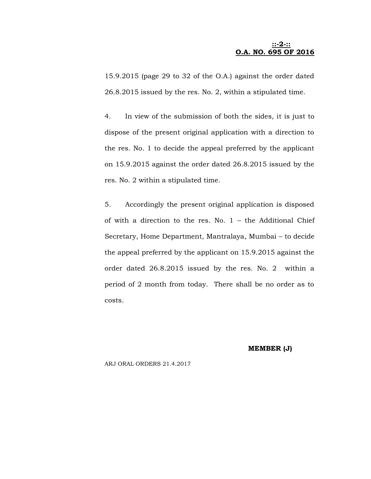### **::-2-:: O.A. NO. 695 OF 2016**

15.9.2015 (page 29 to 32 of the O.A.) against the order dated 26.8.2015 issued by the res. No. 2, within a stipulated time.

4. In view of the submission of both the sides, it is just to dispose of the present original application with a direction to the res. No. 1 to decide the appeal preferred by the applicant on 15.9.2015 against the order dated 26.8.2015 issued by the res. No. 2 within a stipulated time.

5. Accordingly the present original application is disposed of with a direction to the res. No. 1 – the Additional Chief Secretary, Home Department, Mantralaya, Mumbai – to decide the appeal preferred by the applicant on 15.9.2015 against the order dated 26.8.2015 issued by the res. No. 2 within a period of 2 month from today. There shall be no order as to costs.

#### **MEMBER (J)**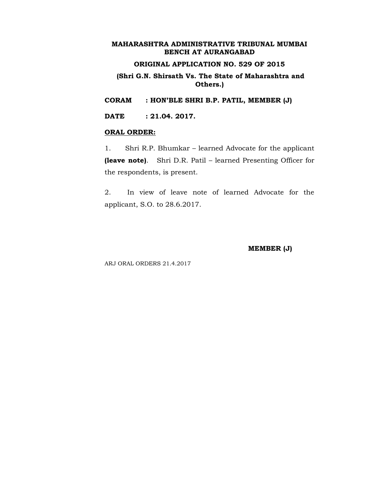# **ORIGINAL APPLICATION NO. 529 OF 2015**

### **(Shri G.N. Shirsath Vs. The State of Maharashtra and Others.)**

**CORAM : HON'BLE SHRI B.P. PATIL, MEMBER (J)**

**DATE : 21.04. 2017.**

#### **ORAL ORDER:**

1. Shri R.P. Bhumkar – learned Advocate for the applicant **(leave note)**. Shri D.R. Patil – learned Presenting Officer for the respondents, is present.

2. In view of leave note of learned Advocate for the applicant, S.O. to 28.6.2017.

**MEMBER (J)**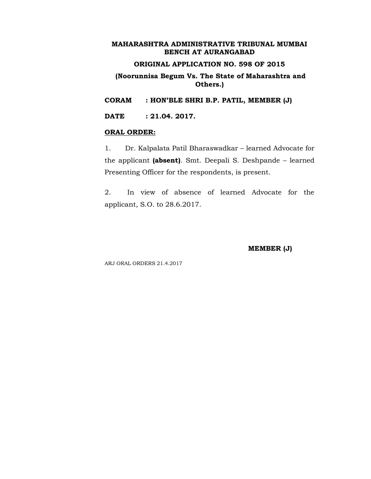# **ORIGINAL APPLICATION NO. 598 OF 2015**

### **(Noorunnisa Begum Vs. The State of Maharashtra and Others.)**

**CORAM : HON'BLE SHRI B.P. PATIL, MEMBER (J)**

**DATE : 21.04. 2017.**

#### **ORAL ORDER:**

1. Dr. Kalpalata Patil Bharaswadkar – learned Advocate for the applicant **(absent)**. Smt. Deepali S. Deshpande – learned Presenting Officer for the respondents, is present.

2. In view of absence of learned Advocate for the applicant, S.O. to 28.6.2017.

**MEMBER (J)**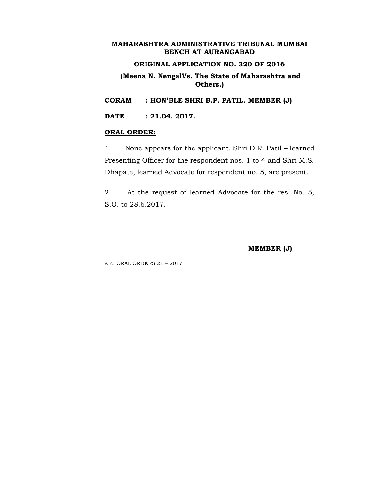# **ORIGINAL APPLICATION NO. 320 OF 2016**

### **(Meena N. NengalVs. The State of Maharashtra and Others.)**

**CORAM : HON'BLE SHRI B.P. PATIL, MEMBER (J)**

**DATE : 21.04. 2017.**

#### **ORAL ORDER:**

1. None appears for the applicant. Shri D.R. Patil – learned Presenting Officer for the respondent nos. 1 to 4 and Shri M.S. Dhapate, learned Advocate for respondent no. 5, are present.

2. At the request of learned Advocate for the res. No. 5, S.O. to 28.6.2017.

**MEMBER (J)**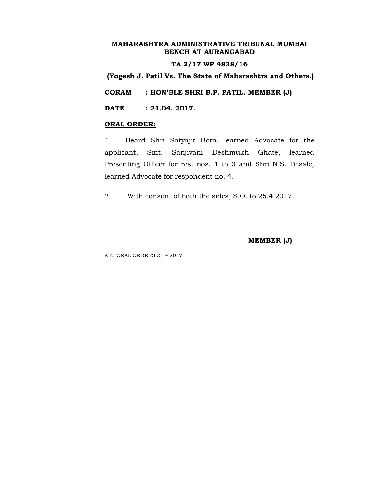#### **TA 2/17 WP 4838/16**

**(Yogesh J. Patil Vs. The State of Maharashtra and Others.)**

**CORAM : HON'BLE SHRI B.P. PATIL, MEMBER (J)**

**DATE : 21.04. 2017.**

#### **ORAL ORDER:**

1. Heard Shri Satyajit Bora, learned Advocate for the applicant, Smt. Sanjivani Deshmukh Ghate, learned Presenting Officer for res. nos. 1 to 3 and Shri N.S. Desale, learned Advocate for respondent no. 4.

2. With consent of both the sides, S.O. to 25.4.2017.

**MEMBER (J)**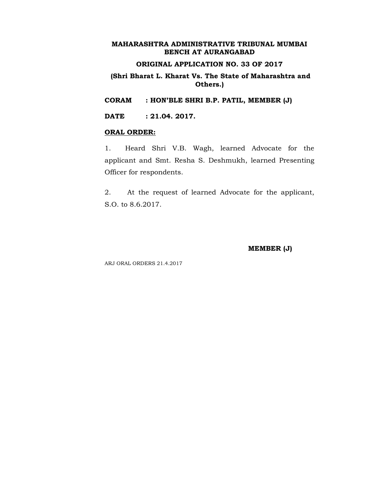### **ORIGINAL APPLICATION NO. 33 OF 2017**

### **(Shri Bharat L. Kharat Vs. The State of Maharashtra and Others.)**

**CORAM : HON'BLE SHRI B.P. PATIL, MEMBER (J)**

**DATE : 21.04. 2017.**

#### **ORAL ORDER:**

1. Heard Shri V.B. Wagh, learned Advocate for the applicant and Smt. Resha S. Deshmukh, learned Presenting Officer for respondents.

2. At the request of learned Advocate for the applicant, S.O. to 8.6.2017.

**MEMBER (J)**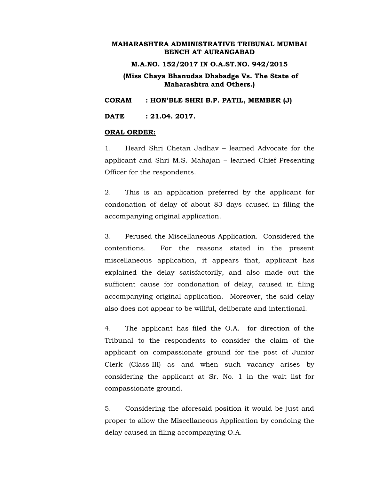#### **M.A.NO. 152/2017 IN O.A.ST.NO. 942/2015**

### **(Miss Chaya Bhanudas Dhabadge Vs. The State of Maharashtra and Others.)**

**CORAM : HON'BLE SHRI B.P. PATIL, MEMBER (J)**

**DATE : 21.04. 2017.**

#### **ORAL ORDER:**

1. Heard Shri Chetan Jadhav – learned Advocate for the applicant and Shri M.S. Mahajan – learned Chief Presenting Officer for the respondents.

2. This is an application preferred by the applicant for condonation of delay of about 83 days caused in filing the accompanying original application.

3. Perused the Miscellaneous Application. Considered the contentions. For the reasons stated in the present miscellaneous application, it appears that, applicant has explained the delay satisfactorily, and also made out the sufficient cause for condonation of delay, caused in filing accompanying original application. Moreover, the said delay also does not appear to be willful, deliberate and intentional.

4. The applicant has filed the O.A. for direction of the Tribunal to the respondents to consider the claim of the applicant on compassionate ground for the post of Junior Clerk (Class-III) as and when such vacancy arises by considering the applicant at Sr. No. 1 in the wait list for compassionate ground.

5. Considering the aforesaid position it would be just and proper to allow the Miscellaneous Application by condoing the delay caused in filing accompanying O.A.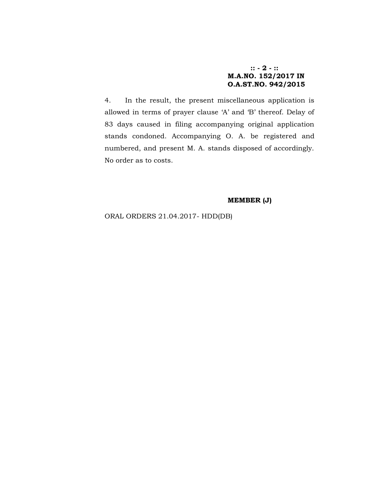### **:: - 2 - :: M.A.NO. 152/2017 IN O.A.ST.NO. 942/2015**

4. In the result, the present miscellaneous application is allowed in terms of prayer clause 'A' and 'B' thereof. Delay of 83 days caused in filing accompanying original application stands condoned. Accompanying O. A. be registered and numbered, and present M. A. stands disposed of accordingly. No order as to costs.

#### **MEMBER (J)**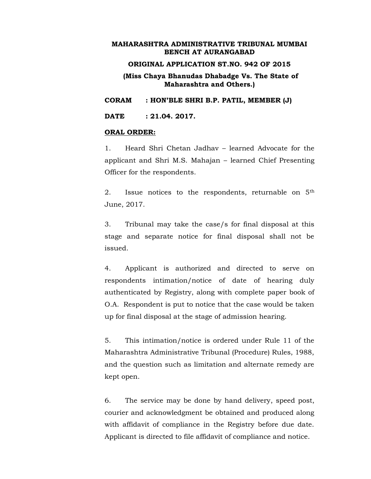#### **ORIGINAL APPLICATION ST.NO. 942 OF 2015**

**(Miss Chaya Bhanudas Dhabadge Vs. The State of Maharashtra and Others.)**

**CORAM : HON'BLE SHRI B.P. PATIL, MEMBER (J)**

**DATE : 21.04. 2017.**

#### **ORAL ORDER:**

1. Heard Shri Chetan Jadhav – learned Advocate for the applicant and Shri M.S. Mahajan – learned Chief Presenting Officer for the respondents.

2. Issue notices to the respondents, returnable on  $5<sup>th</sup>$ June, 2017.

3. Tribunal may take the case/s for final disposal at this stage and separate notice for final disposal shall not be issued.

4. Applicant is authorized and directed to serve on respondents intimation/notice of date of hearing duly authenticated by Registry, along with complete paper book of O.A. Respondent is put to notice that the case would be taken up for final disposal at the stage of admission hearing.

5. This intimation/notice is ordered under Rule 11 of the Maharashtra Administrative Tribunal (Procedure) Rules, 1988, and the question such as limitation and alternate remedy are kept open.

6. The service may be done by hand delivery, speed post, courier and acknowledgment be obtained and produced along with affidavit of compliance in the Registry before due date. Applicant is directed to file affidavit of compliance and notice.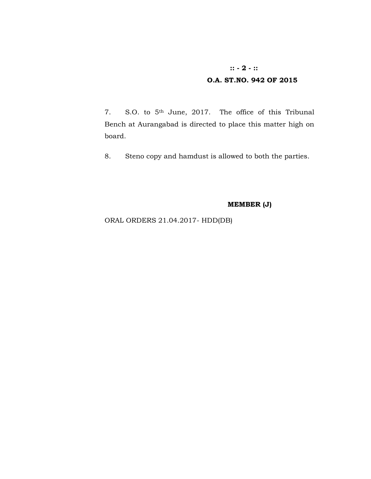# **:: - 2 - :: O.A. ST.NO. 942 OF 2015**

7. S.O. to 5th June, 2017. The office of this Tribunal Bench at Aurangabad is directed to place this matter high on board.

8. Steno copy and hamdust is allowed to both the parties.

# **MEMBER (J)**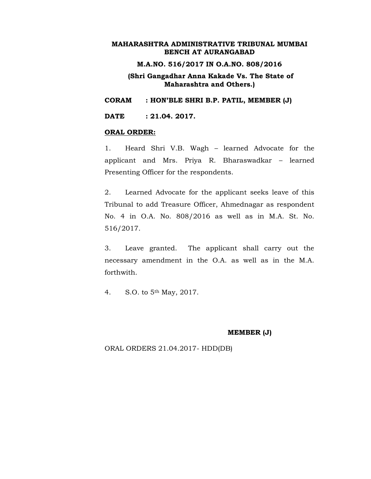#### **M.A.NO. 516/2017 IN O.A.NO. 808/2016**

### **(Shri Gangadhar Anna Kakade Vs. The State of Maharashtra and Others.)**

**CORAM : HON'BLE SHRI B.P. PATIL, MEMBER (J)**

**DATE : 21.04. 2017.**

#### **ORAL ORDER:**

1. Heard Shri V.B. Wagh – learned Advocate for the applicant and Mrs. Priya R. Bharaswadkar – learned Presenting Officer for the respondents.

2. Learned Advocate for the applicant seeks leave of this Tribunal to add Treasure Officer, Ahmednagar as respondent No. 4 in O.A. No. 808/2016 as well as in M.A. St. No. 516/2017.

3. Leave granted. The applicant shall carry out the necessary amendment in the O.A. as well as in the M.A. forthwith.

4. S.O. to 5th May, 2017.

#### **MEMBER (J)**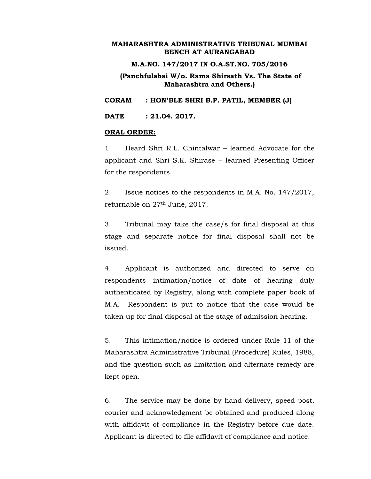#### **M.A.NO. 147/2017 IN O.A.ST.NO. 705/2016**

### **(Panchfulabai W/o. Rama Shirsath Vs. The State of Maharashtra and Others.)**

**CORAM : HON'BLE SHRI B.P. PATIL, MEMBER (J)**

**DATE : 21.04. 2017.**

#### **ORAL ORDER:**

1. Heard Shri R.L. Chintalwar – learned Advocate for the applicant and Shri S.K. Shirase – learned Presenting Officer for the respondents.

2. Issue notices to the respondents in M.A. No. 147/2017, returnable on 27th June, 2017.

3. Tribunal may take the case/s for final disposal at this stage and separate notice for final disposal shall not be issued.

4. Applicant is authorized and directed to serve on respondents intimation/notice of date of hearing duly authenticated by Registry, along with complete paper book of M.A. Respondent is put to notice that the case would be taken up for final disposal at the stage of admission hearing.

5. This intimation/notice is ordered under Rule 11 of the Maharashtra Administrative Tribunal (Procedure) Rules, 1988, and the question such as limitation and alternate remedy are kept open.

6. The service may be done by hand delivery, speed post, courier and acknowledgment be obtained and produced along with affidavit of compliance in the Registry before due date. Applicant is directed to file affidavit of compliance and notice.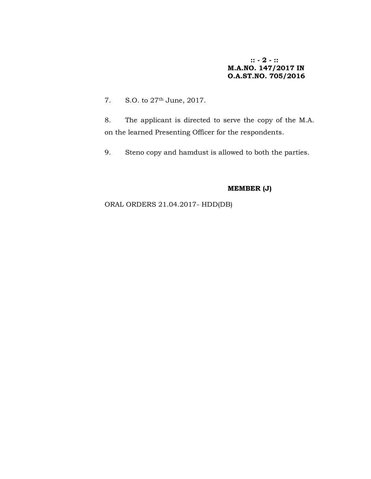**:: - 2 - :: M.A.NO. 147/2017 IN O.A.ST.NO. 705/2016**

7. S.O. to 27th June, 2017.

8. The applicant is directed to serve the copy of the M.A. on the learned Presenting Officer for the respondents.

9. Steno copy and hamdust is allowed to both the parties.

# **MEMBER (J)**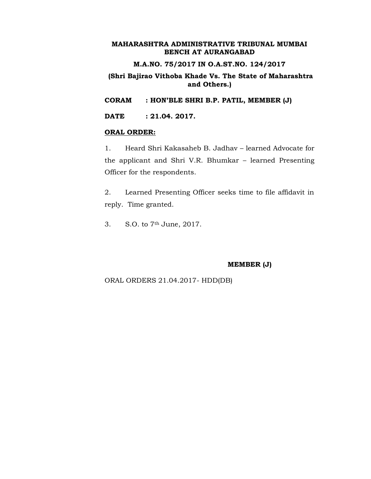### **M.A.NO. 75/2017 IN O.A.ST.NO. 124/2017**

### **(Shri Bajirao Vithoba Khade Vs. The State of Maharashtra and Others.)**

**CORAM : HON'BLE SHRI B.P. PATIL, MEMBER (J)**

**DATE : 21.04. 2017.**

#### **ORAL ORDER:**

1. Heard Shri Kakasaheb B. Jadhav – learned Advocate for the applicant and Shri V.R. Bhumkar – learned Presenting Officer for the respondents.

2. Learned Presenting Officer seeks time to file affidavit in reply. Time granted.

3. S.O. to 7th June, 2017.

#### **MEMBER (J)**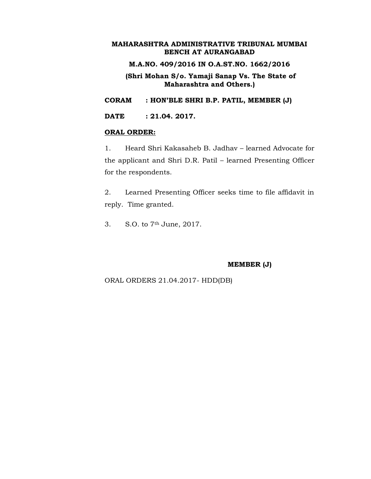### **M.A.NO. 409/2016 IN O.A.ST.NO. 1662/2016**

**(Shri Mohan S/o. Yamaji Sanap Vs. The State of Maharashtra and Others.)**

**CORAM : HON'BLE SHRI B.P. PATIL, MEMBER (J)**

**DATE : 21.04. 2017.**

#### **ORAL ORDER:**

1. Heard Shri Kakasaheb B. Jadhav – learned Advocate for the applicant and Shri D.R. Patil – learned Presenting Officer for the respondents.

2. Learned Presenting Officer seeks time to file affidavit in reply. Time granted.

3. S.O. to 7th June, 2017.

#### **MEMBER (J)**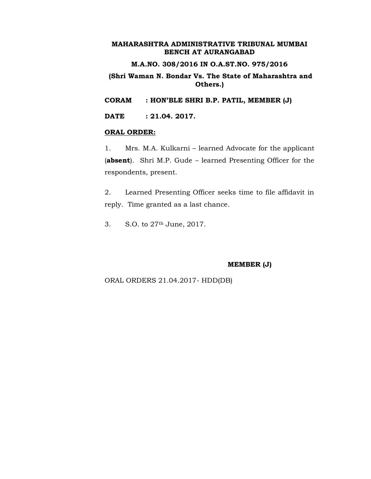### **M.A.NO. 308/2016 IN O.A.ST.NO. 975/2016**

### **(Shri Waman N. Bondar Vs. The State of Maharashtra and Others.)**

**CORAM : HON'BLE SHRI B.P. PATIL, MEMBER (J)**

**DATE : 21.04. 2017.**

#### **ORAL ORDER:**

1. Mrs. M.A. Kulkarni – learned Advocate for the applicant (**absent**). Shri M.P. Gude – learned Presenting Officer for the respondents, present.

2. Learned Presenting Officer seeks time to file affidavit in reply. Time granted as a last chance.

3. S.O. to 27th June, 2017.

### **MEMBER (J)**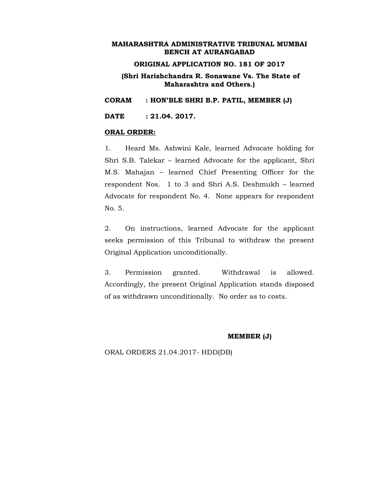### **ORIGINAL APPLICATION NO. 181 OF 2017**

### **(Shri Harishchandra R. Sonawane Vs. The State of Maharashtra and Others.)**

**CORAM : HON'BLE SHRI B.P. PATIL, MEMBER (J)**

**DATE : 21.04. 2017.**

#### **ORAL ORDER:**

1. Heard Ms. Ashwini Kale, learned Advocate holding for Shri S.B. Talekar – learned Advocate for the applicant, Shri M.S. Mahajan – learned Chief Presenting Officer for the respondent Nos. 1 to 3 and Shri A.S. Deshmukh – learned Advocate for respondent No. 4. None appears for respondent No. 5.

2. On instructions, learned Advocate for the applicant seeks permission of this Tribunal to withdraw the present Original Application unconditionally.

3. Permission granted. Withdrawal is allowed. Accordingly, the present Original Application stands disposed of as withdrawn unconditionally. No order as to costs.

#### **MEMBER (J)**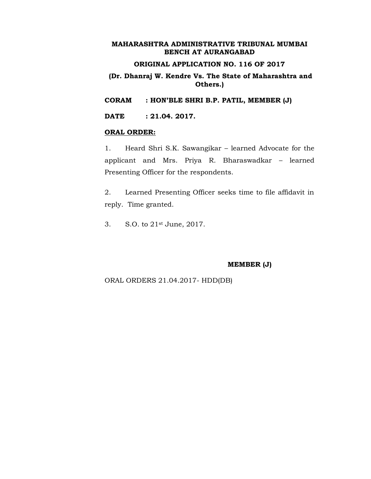## **ORIGINAL APPLICATION NO. 116 OF 2017**

### **(Dr. Dhanraj W. Kendre Vs. The State of Maharashtra and Others.)**

**CORAM : HON'BLE SHRI B.P. PATIL, MEMBER (J)**

**DATE : 21.04. 2017.**

#### **ORAL ORDER:**

1. Heard Shri S.K. Sawangikar – learned Advocate for the applicant and Mrs. Priya R. Bharaswadkar – learned Presenting Officer for the respondents.

2. Learned Presenting Officer seeks time to file affidavit in reply. Time granted.

3. S.O. to 21st June, 2017.

#### **MEMBER (J)**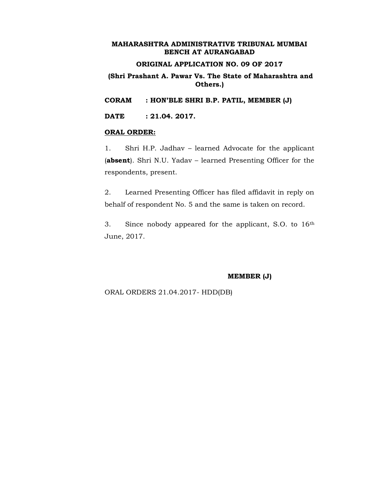### **ORIGINAL APPLICATION NO. 09 OF 2017**

### **(Shri Prashant A. Pawar Vs. The State of Maharashtra and Others.)**

**CORAM : HON'BLE SHRI B.P. PATIL, MEMBER (J)**

**DATE : 21.04. 2017.**

#### **ORAL ORDER:**

1. Shri H.P. Jadhav – learned Advocate for the applicant (**absent**). Shri N.U. Yadav – learned Presenting Officer for the respondents, present.

2. Learned Presenting Officer has filed affidavit in reply on behalf of respondent No. 5 and the same is taken on record.

3. Since nobody appeared for the applicant, S.O. to 16th June, 2017.

#### **MEMBER (J)**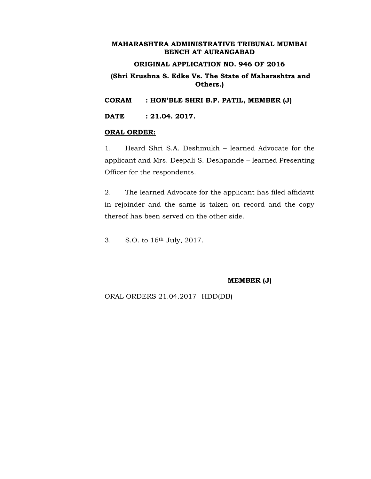# **ORIGINAL APPLICATION NO. 946 OF 2016**

### **(Shri Krushna S. Edke Vs. The State of Maharashtra and Others.)**

**CORAM : HON'BLE SHRI B.P. PATIL, MEMBER (J)**

**DATE : 21.04. 2017.**

#### **ORAL ORDER:**

1. Heard Shri S.A. Deshmukh – learned Advocate for the applicant and Mrs. Deepali S. Deshpande – learned Presenting Officer for the respondents.

2. The learned Advocate for the applicant has filed affidavit in rejoinder and the same is taken on record and the copy thereof has been served on the other side.

3. S.O. to 16th July, 2017.

#### **MEMBER (J)**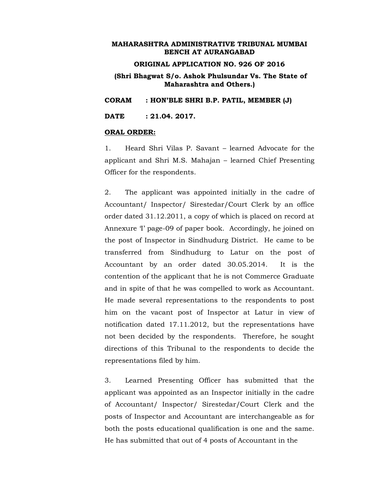#### **ORIGINAL APPLICATION NO. 926 OF 2016**

### **(Shri Bhagwat S/o. Ashok Phulsundar Vs. The State of Maharashtra and Others.)**

**CORAM : HON'BLE SHRI B.P. PATIL, MEMBER (J)**

**DATE : 21.04. 2017.**

#### **ORAL ORDER:**

1. Heard Shri Vilas P. Savant – learned Advocate for the applicant and Shri M.S. Mahajan – learned Chief Presenting Officer for the respondents.

2. The applicant was appointed initially in the cadre of Accountant/ Inspector/ Sirestedar/Court Clerk by an office order dated 31.12.2011, a copy of which is placed on record at Annexure 'I' page-09 of paper book. Accordingly, he joined on the post of Inspector in Sindhudurg District. He came to be transferred from Sindhudurg to Latur on the post of Accountant by an order dated 30.05.2014. It is the contention of the applicant that he is not Commerce Graduate and in spite of that he was compelled to work as Accountant. He made several representations to the respondents to post him on the vacant post of Inspector at Latur in view of notification dated 17.11.2012, but the representations have not been decided by the respondents. Therefore, he sought directions of this Tribunal to the respondents to decide the representations filed by him.

3. Learned Presenting Officer has submitted that the applicant was appointed as an Inspector initially in the cadre of Accountant/ Inspector/ Sirestedar/Court Clerk and the posts of Inspector and Accountant are interchangeable as for both the posts educational qualification is one and the same. He has submitted that out of 4 posts of Accountant in the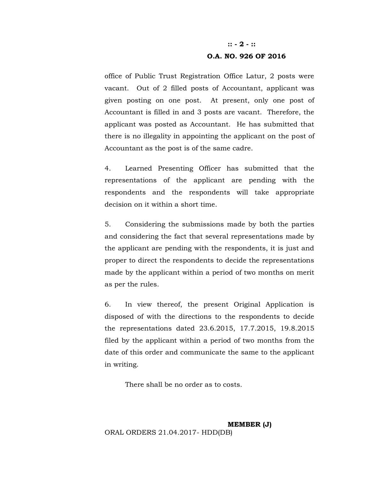# **:: - 2 - :: O.A. NO. 926 OF 2016**

office of Public Trust Registration Office Latur, 2 posts were vacant. Out of 2 filled posts of Accountant, applicant was given posting on one post. At present, only one post of Accountant is filled in and 3 posts are vacant. Therefore, the applicant was posted as Accountant. He has submitted that there is no illegality in appointing the applicant on the post of Accountant as the post is of the same cadre.

4. Learned Presenting Officer has submitted that the representations of the applicant are pending with the respondents and the respondents will take appropriate decision on it within a short time.

5. Considering the submissions made by both the parties and considering the fact that several representations made by the applicant are pending with the respondents, it is just and proper to direct the respondents to decide the representations made by the applicant within a period of two months on merit as per the rules.

6. In view thereof, the present Original Application is disposed of with the directions to the respondents to decide the representations dated 23.6.2015, 17.7.2015, 19.8.2015 filed by the applicant within a period of two months from the date of this order and communicate the same to the applicant in writing.

There shall be no order as to costs.

**MEMBER (J)** ORAL ORDERS 21.04.2017- HDD(DB)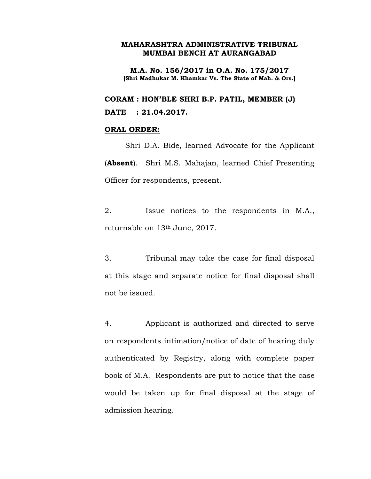**M.A. No. 156/2017 in O.A. No. 175/2017 [Shri Madhukar M. Khamkar Vs. The State of Mah. & Ors.]**

**CORAM : HON'BLE SHRI B.P. PATIL, MEMBER (J) DATE : 21.04.2017.**

### **ORAL ORDER:**

Shri D.A. Bide, learned Advocate for the Applicant (**Absent**). Shri M.S. Mahajan, learned Chief Presenting Officer for respondents, present.

2. Issue notices to the respondents in M.A., returnable on 13th June, 2017.

3. Tribunal may take the case for final disposal at this stage and separate notice for final disposal shall not be issued.

4. Applicant is authorized and directed to serve on respondents intimation/notice of date of hearing duly authenticated by Registry, along with complete paper book of M.A. Respondents are put to notice that the case would be taken up for final disposal at the stage of admission hearing.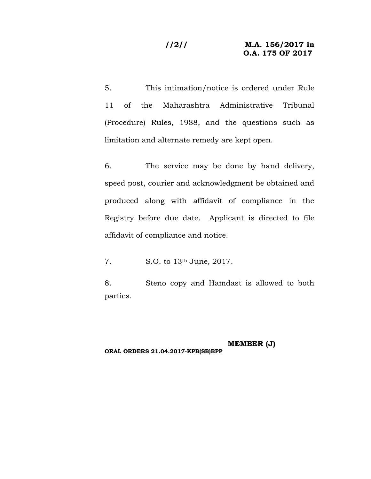### **//2// M.A. 156/2017 in O.A. 175 OF 2017**

5. This intimation/notice is ordered under Rule 11 of the Maharashtra Administrative Tribunal (Procedure) Rules, 1988, and the questions such as limitation and alternate remedy are kept open.

6. The service may be done by hand delivery, speed post, courier and acknowledgment be obtained and produced along with affidavit of compliance in the Registry before due date. Applicant is directed to file affidavit of compliance and notice.

7. S.O. to 13th June, 2017.

8. Steno copy and Hamdast is allowed to both parties.

**MEMBER (J) ORAL ORDERS 21.04.2017-KPB(SB)BPP**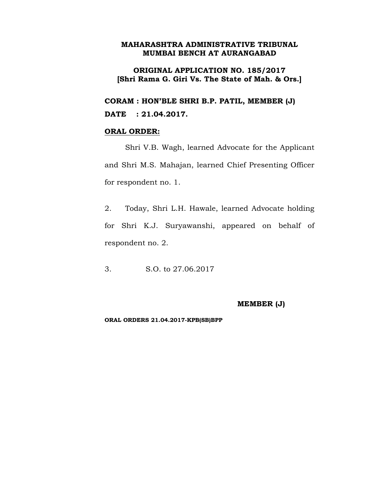# **ORIGINAL APPLICATION NO. 185/2017 [Shri Rama G. Giri Vs. The State of Mah. & Ors.]**

**CORAM : HON'BLE SHRI B.P. PATIL, MEMBER (J) DATE : 21.04.2017.**

### **ORAL ORDER:**

Shri V.B. Wagh, learned Advocate for the Applicant and Shri M.S. Mahajan, learned Chief Presenting Officer for respondent no. 1.

2. Today, Shri L.H. Hawale, learned Advocate holding for Shri K.J. Suryawanshi, appeared on behalf of respondent no. 2.

3. S.O. to 27.06.2017

### **MEMBER (J)**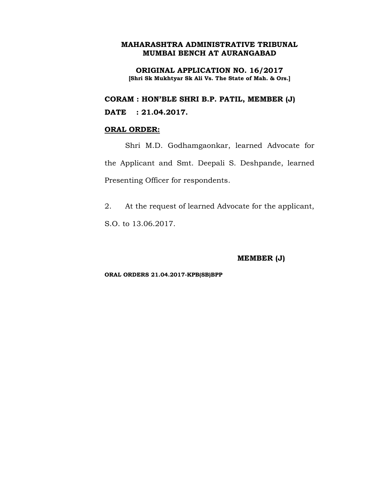**ORIGINAL APPLICATION NO. 16/2017 [Shri Sk Mukhtyar Sk Ali Vs. The State of Mah. & Ors.]**

**CORAM : HON'BLE SHRI B.P. PATIL, MEMBER (J)**

**DATE : 21.04.2017.**

# **ORAL ORDER:**

Shri M.D. Godhamgaonkar, learned Advocate for the Applicant and Smt. Deepali S. Deshpande, learned Presenting Officer for respondents.

2. At the request of learned Advocate for the applicant, S.O. to 13.06.2017.

**MEMBER (J)**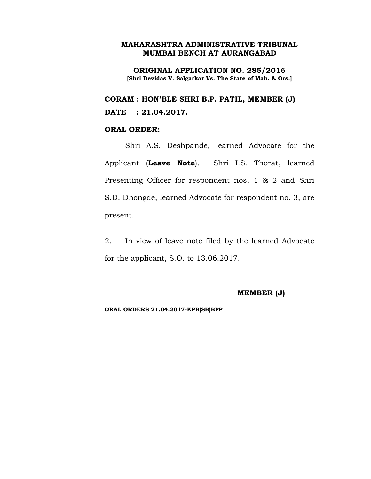**ORIGINAL APPLICATION NO. 285/2016 [Shri Devidas V. Salgarkar Vs. The State of Mah. & Ors.]**

**CORAM : HON'BLE SHRI B.P. PATIL, MEMBER (J)**

# **DATE : 21.04.2017.**

### **ORAL ORDER:**

Shri A.S. Deshpande, learned Advocate for the Applicant (**Leave Note**). Shri I.S. Thorat, learned Presenting Officer for respondent nos. 1 & 2 and Shri S.D. Dhongde, learned Advocate for respondent no. 3, are present.

2. In view of leave note filed by the learned Advocate for the applicant, S.O. to 13.06.2017.

**MEMBER (J)**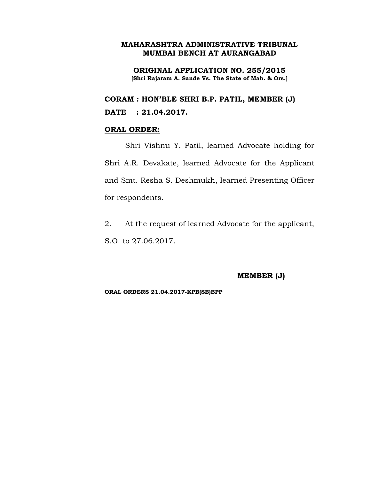**ORIGINAL APPLICATION NO. 255/2015 [Shri Rajaram A. Sande Vs. The State of Mah. & Ors.]**

**CORAM : HON'BLE SHRI B.P. PATIL, MEMBER (J) DATE : 21.04.2017.**

### **ORAL ORDER:**

Shri Vishnu Y. Patil, learned Advocate holding for Shri A.R. Devakate, learned Advocate for the Applicant and Smt. Resha S. Deshmukh, learned Presenting Officer for respondents.

2. At the request of learned Advocate for the applicant, S.O. to 27.06.2017.

#### **MEMBER (J)**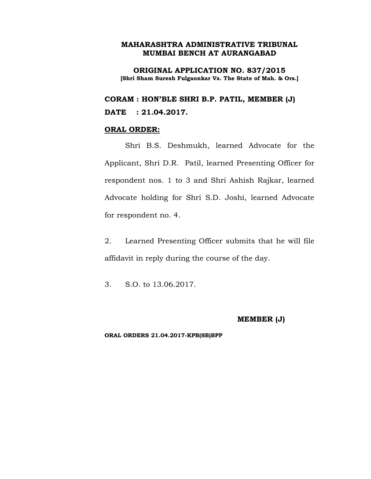**ORIGINAL APPLICATION NO. 837/2015 [Shri Sham Suresh Fulgaonkar Vs. The State of Mah. & Ors.]**

**CORAM : HON'BLE SHRI B.P. PATIL, MEMBER (J) DATE : 21.04.2017.**

#### **ORAL ORDER:**

Shri B.S. Deshmukh, learned Advocate for the Applicant, Shri D.R. Patil, learned Presenting Officer for respondent nos. 1 to 3 and Shri Ashish Rajkar, learned Advocate holding for Shri S.D. Joshi, learned Advocate for respondent no. 4.

2. Learned Presenting Officer submits that he will file affidavit in reply during the course of the day.

3. S.O. to 13.06.2017.

### **MEMBER (J)**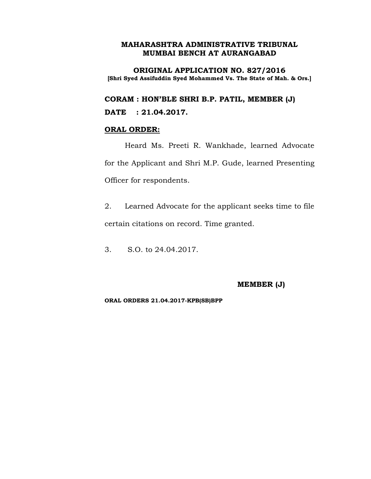**ORIGINAL APPLICATION NO. 827/2016 [Shri Syed Assifuddin Syed Mohammed Vs. The State of Mah. & Ors.]**

**CORAM : HON'BLE SHRI B.P. PATIL, MEMBER (J)**

**DATE : 21.04.2017.**

### **ORAL ORDER:**

Heard Ms. Preeti R. Wankhade, learned Advocate for the Applicant and Shri M.P. Gude, learned Presenting Officer for respondents.

2. Learned Advocate for the applicant seeks time to file certain citations on record. Time granted.

3. S.O. to 24.04.2017.

### **MEMBER (J)**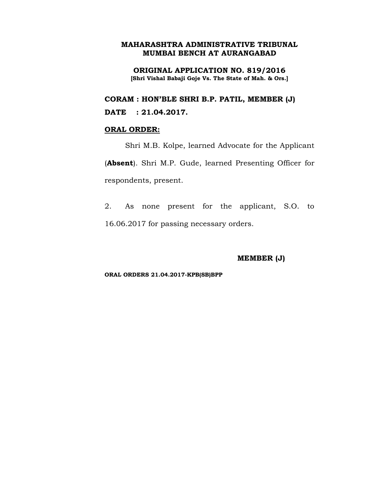**ORIGINAL APPLICATION NO. 819/2016 [Shri Vishal Babaji Goje Vs. The State of Mah. & Ors.]**

**CORAM : HON'BLE SHRI B.P. PATIL, MEMBER (J)**

**DATE : 21.04.2017.**

### **ORAL ORDER:**

Shri M.B. Kolpe, learned Advocate for the Applicant (**Absent**). Shri M.P. Gude, learned Presenting Officer for respondents, present.

2. As none present for the applicant, S.O. to 16.06.2017 for passing necessary orders.

**MEMBER (J)**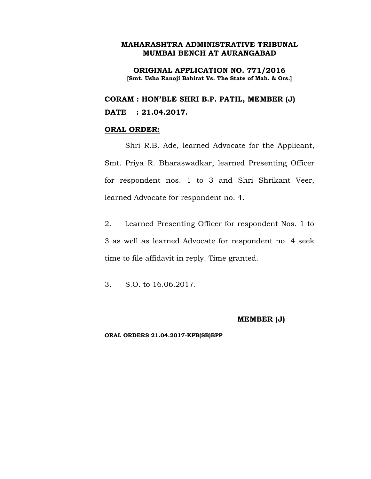**ORIGINAL APPLICATION NO. 771/2016 [Smt. Usha Ranoji Bahirat Vs. The State of Mah. & Ors.]**

**CORAM : HON'BLE SHRI B.P. PATIL, MEMBER (J) DATE : 21.04.2017.**

### **ORAL ORDER:**

Shri R.B. Ade, learned Advocate for the Applicant, Smt. Priya R. Bharaswadkar, learned Presenting Officer for respondent nos. 1 to 3 and Shri Shrikant Veer, learned Advocate for respondent no. 4.

2. Learned Presenting Officer for respondent Nos. 1 to 3 as well as learned Advocate for respondent no. 4 seek time to file affidavit in reply. Time granted.

3. S.O. to 16.06.2017.

# **MEMBER (J)**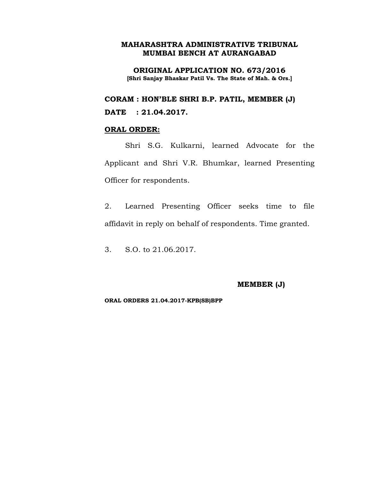**ORIGINAL APPLICATION NO. 673/2016 [Shri Sanjay Bhaskar Patil Vs. The State of Mah. & Ors.]**

**CORAM : HON'BLE SHRI B.P. PATIL, MEMBER (J)**

**DATE : 21.04.2017.**

## **ORAL ORDER:**

Shri S.G. Kulkarni, learned Advocate for the Applicant and Shri V.R. Bhumkar, learned Presenting Officer for respondents.

2. Learned Presenting Officer seeks time to file affidavit in reply on behalf of respondents. Time granted.

3. S.O. to 21.06.2017.

#### **MEMBER (J)**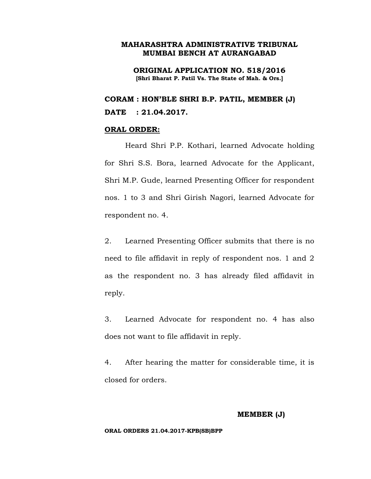**ORIGINAL APPLICATION NO. 518/2016 [Shri Bharat P. Patil Vs. The State of Mah. & Ors.]**

**CORAM : HON'BLE SHRI B.P. PATIL, MEMBER (J) DATE : 21.04.2017.**

### **ORAL ORDER:**

Heard Shri P.P. Kothari, learned Advocate holding for Shri S.S. Bora, learned Advocate for the Applicant, Shri M.P. Gude, learned Presenting Officer for respondent nos. 1 to 3 and Shri Girish Nagori, learned Advocate for respondent no. 4.

2. Learned Presenting Officer submits that there is no need to file affidavit in reply of respondent nos. 1 and 2 as the respondent no. 3 has already filed affidavit in reply.

3. Learned Advocate for respondent no. 4 has also does not want to file affidavit in reply.

4. After hearing the matter for considerable time, it is closed for orders.

#### **MEMBER (J)**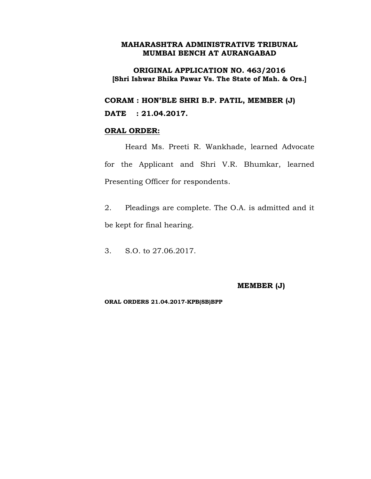### **ORIGINAL APPLICATION NO. 463/2016 [Shri Ishwar Bhika Pawar Vs. The State of Mah. & Ors.]**

**CORAM : HON'BLE SHRI B.P. PATIL, MEMBER (J)**

**DATE : 21.04.2017.**

#### **ORAL ORDER:**

Heard Ms. Preeti R. Wankhade, learned Advocate for the Applicant and Shri V.R. Bhumkar, learned Presenting Officer for respondents.

- 2. Pleadings are complete. The O.A. is admitted and it be kept for final hearing.
- 3. S.O. to 27.06.2017.

#### **MEMBER (J)**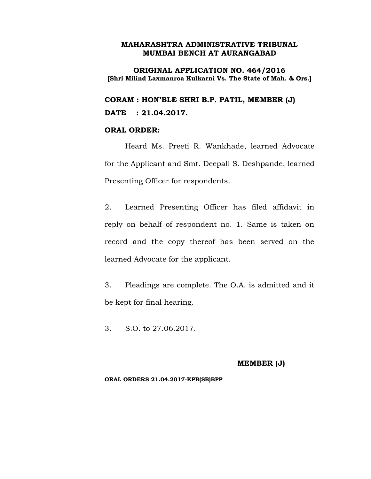**ORIGINAL APPLICATION NO. 464/2016 [Shri Milind Laxmanroa Kulkarni Vs. The State of Mah. & Ors.]**

**CORAM : HON'BLE SHRI B.P. PATIL, MEMBER (J) DATE : 21.04.2017.**

### **ORAL ORDER:**

Heard Ms. Preeti R. Wankhade, learned Advocate for the Applicant and Smt. Deepali S. Deshpande, learned Presenting Officer for respondents.

2. Learned Presenting Officer has filed affidavit in reply on behalf of respondent no. 1. Same is taken on record and the copy thereof has been served on the learned Advocate for the applicant.

3. Pleadings are complete. The O.A. is admitted and it be kept for final hearing.

3. S.O. to 27.06.2017.

#### **MEMBER (J)**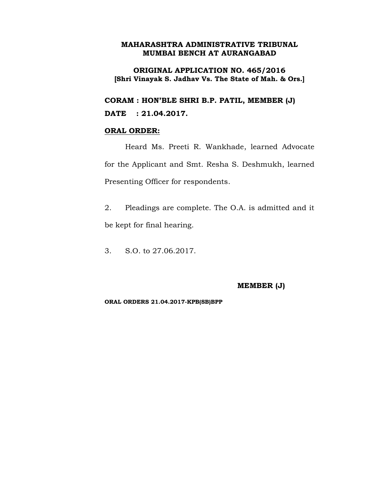### **ORIGINAL APPLICATION NO. 465/2016 [Shri Vinayak S. Jadhav Vs. The State of Mah. & Ors.]**

**CORAM : HON'BLE SHRI B.P. PATIL, MEMBER (J)**

### **DATE : 21.04.2017.**

#### **ORAL ORDER:**

Heard Ms. Preeti R. Wankhade, learned Advocate for the Applicant and Smt. Resha S. Deshmukh, learned Presenting Officer for respondents.

2. Pleadings are complete. The O.A. is admitted and it be kept for final hearing.

3. S.O. to 27.06.2017.

#### **MEMBER (J)**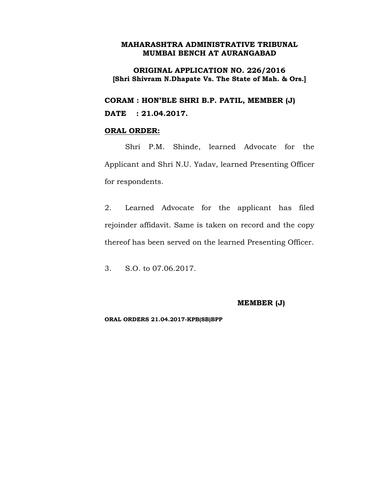### **ORIGINAL APPLICATION NO. 226/2016 [Shri Shivram N.Dhapate Vs. The State of Mah. & Ors.]**

**CORAM : HON'BLE SHRI B.P. PATIL, MEMBER (J)**

**DATE : 21.04.2017.**

### **ORAL ORDER:**

Shri P.M. Shinde, learned Advocate for the Applicant and Shri N.U. Yadav, learned Presenting Officer for respondents.

2. Learned Advocate for the applicant has filed rejoinder affidavit. Same is taken on record and the copy thereof has been served on the learned Presenting Officer.

3. S.O. to 07.06.2017.

### **MEMBER (J)**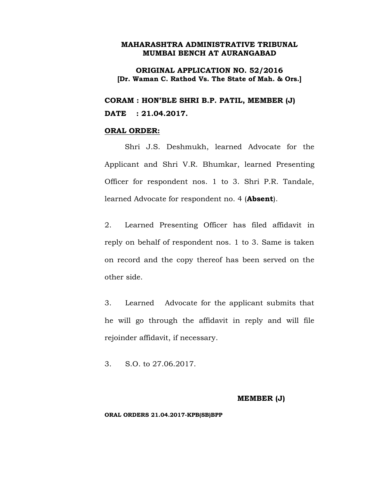**ORIGINAL APPLICATION NO. 52/2016 [Dr. Waman C. Rathod Vs. The State of Mah. & Ors.]**

**CORAM : HON'BLE SHRI B.P. PATIL, MEMBER (J) DATE : 21.04.2017.**

#### **ORAL ORDER:**

Shri J.S. Deshmukh, learned Advocate for the Applicant and Shri V.R. Bhumkar, learned Presenting Officer for respondent nos. 1 to 3. Shri P.R. Tandale, learned Advocate for respondent no. 4 (**Absent**).

2. Learned Presenting Officer has filed affidavit in reply on behalf of respondent nos. 1 to 3. Same is taken on record and the copy thereof has been served on the other side.

3. Learned Advocate for the applicant submits that he will go through the affidavit in reply and will file rejoinder affidavit, if necessary.

3. S.O. to 27.06.2017.

#### **MEMBER (J)**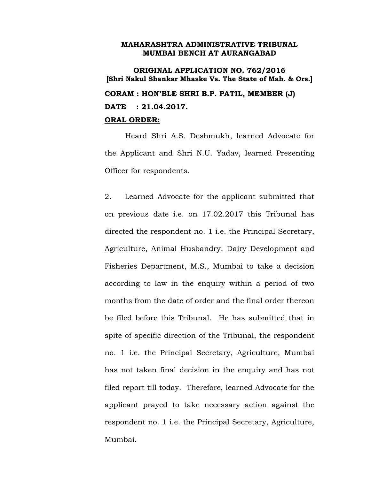**ORIGINAL APPLICATION NO. 762/2016 [Shri Nakul Shankar Mhaske Vs. The State of Mah. & Ors.] CORAM : HON'BLE SHRI B.P. PATIL, MEMBER (J) DATE : 21.04.2017. ORAL ORDER:**

Heard Shri A.S. Deshmukh, learned Advocate for the Applicant and Shri N.U. Yadav, learned Presenting Officer for respondents.

2. Learned Advocate for the applicant submitted that on previous date i.e. on 17.02.2017 this Tribunal has directed the respondent no. 1 i.e. the Principal Secretary, Agriculture, Animal Husbandry, Dairy Development and Fisheries Department, M.S., Mumbai to take a decision according to law in the enquiry within a period of two months from the date of order and the final order thereon be filed before this Tribunal. He has submitted that in spite of specific direction of the Tribunal, the respondent no. 1 i.e. the Principal Secretary, Agriculture, Mumbai has not taken final decision in the enquiry and has not filed report till today. Therefore, learned Advocate for the applicant prayed to take necessary action against the respondent no. 1 i.e. the Principal Secretary, Agriculture, Mumbai.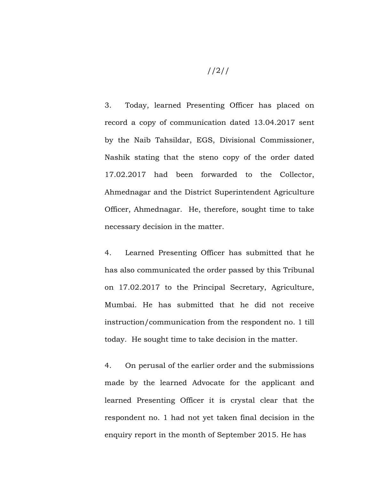3. Today, learned Presenting Officer has placed on record a copy of communication dated 13.04.2017 sent by the Naib Tahsildar, EGS, Divisional Commissioner, Nashik stating that the steno copy of the order dated 17.02.2017 had been forwarded to the Collector, Ahmednagar and the District Superintendent Agriculture Officer, Ahmednagar. He, therefore, sought time to take necessary decision in the matter.

4. Learned Presenting Officer has submitted that he has also communicated the order passed by this Tribunal on 17.02.2017 to the Principal Secretary, Agriculture, Mumbai. He has submitted that he did not receive instruction/communication from the respondent no. 1 till today. He sought time to take decision in the matter.

4. On perusal of the earlier order and the submissions made by the learned Advocate for the applicant and learned Presenting Officer it is crystal clear that the respondent no. 1 had not yet taken final decision in the enquiry report in the month of September 2015. He has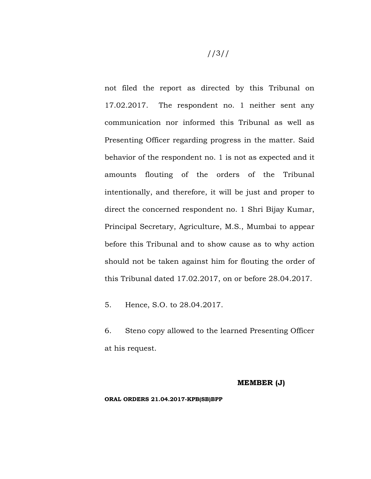not filed the report as directed by this Tribunal on 17.02.2017. The respondent no. 1 neither sent any communication nor informed this Tribunal as well as Presenting Officer regarding progress in the matter. Said behavior of the respondent no. 1 is not as expected and it amounts flouting of the orders of the Tribunal intentionally, and therefore, it will be just and proper to direct the concerned respondent no. 1 Shri Bijay Kumar, Principal Secretary, Agriculture, M.S., Mumbai to appear before this Tribunal and to show cause as to why action should not be taken against him for flouting the order of this Tribunal dated 17.02.2017, on or before 28.04.2017.

5. Hence, S.O. to 28.04.2017.

6. Steno copy allowed to the learned Presenting Officer at his request.

#### **MEMBER (J)**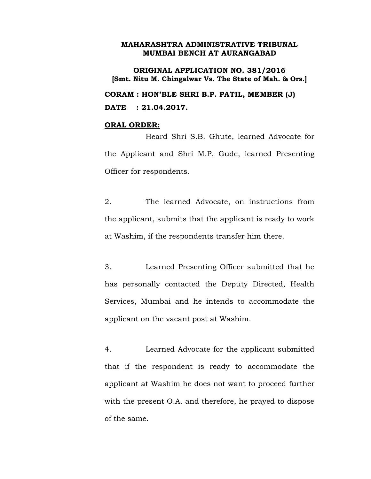**ORIGINAL APPLICATION NO. 381/2016 [Smt. Nitu M. Chingalwar Vs. The State of Mah. & Ors.] CORAM : HON'BLE SHRI B.P. PATIL, MEMBER (J) DATE : 21.04.2017.**

#### **ORAL ORDER:**

Heard Shri S.B. Ghute, learned Advocate for the Applicant and Shri M.P. Gude, learned Presenting Officer for respondents.

2. The learned Advocate, on instructions from the applicant, submits that the applicant is ready to work at Washim, if the respondents transfer him there.

3. Learned Presenting Officer submitted that he has personally contacted the Deputy Directed, Health Services, Mumbai and he intends to accommodate the applicant on the vacant post at Washim.

4. Learned Advocate for the applicant submitted that if the respondent is ready to accommodate the applicant at Washim he does not want to proceed further with the present O.A. and therefore, he prayed to dispose of the same.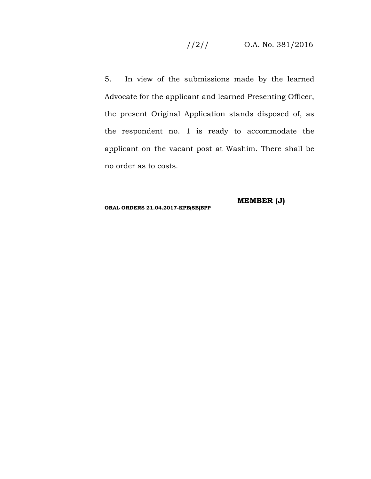# //2// O.A. No. 381/2016

5. In view of the submissions made by the learned Advocate for the applicant and learned Presenting Officer, the present Original Application stands disposed of, as the respondent no. 1 is ready to accommodate the applicant on the vacant post at Washim. There shall be no order as to costs.

**MEMBER (J)**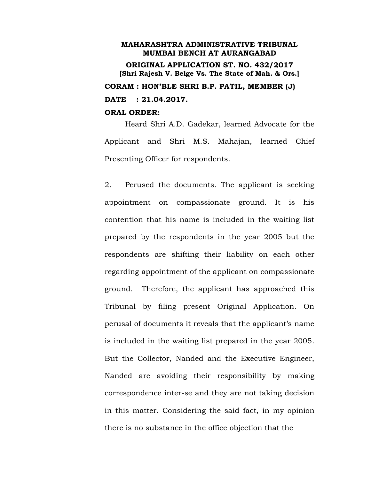# **MAHARASHTRA ADMINISTRATIVE TRIBUNAL MUMBAI BENCH AT AURANGABAD ORIGINAL APPLICATION ST. NO. 432/2017 [Shri Rajesh V. Belge Vs. The State of Mah. & Ors.] CORAM : HON'BLE SHRI B.P. PATIL, MEMBER (J) DATE : 21.04.2017.**

### **ORAL ORDER:**

Heard Shri A.D. Gadekar, learned Advocate for the Applicant and Shri M.S. Mahajan, learned Chief Presenting Officer for respondents.

2. Perused the documents. The applicant is seeking appointment on compassionate ground. It is his contention that his name is included in the waiting list prepared by the respondents in the year 2005 but the respondents are shifting their liability on each other regarding appointment of the applicant on compassionate ground. Therefore, the applicant has approached this Tribunal by filing present Original Application. On perusal of documents it reveals that the applicant's name is included in the waiting list prepared in the year 2005. But the Collector, Nanded and the Executive Engineer, Nanded are avoiding their responsibility by making correspondence inter-se and they are not taking decision in this matter. Considering the said fact, in my opinion there is no substance in the office objection that the